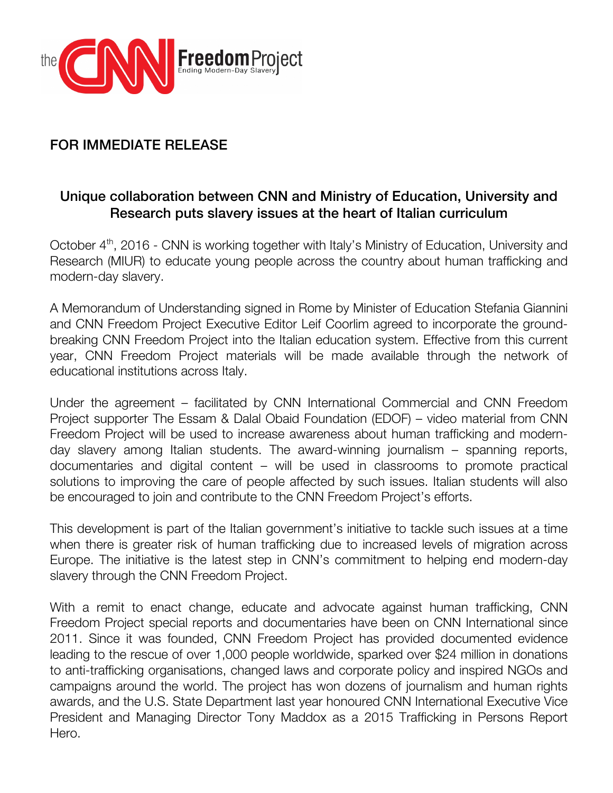

## FOR IMMEDIATE RELEASE

## Unique collaboration between CNN and Ministry of Education, University and Research puts slavery issues at the heart of Italian curriculum

October 4<sup>th</sup>, 2016 - CNN is working together with Italy's Ministry of Education, University and Research (MIUR) to educate young people across the country about human trafficking and modern-day slavery.

A Memorandum of Understanding signed in Rome by Minister of Education Stefania Giannini and CNN Freedom Project Executive Editor Leif Coorlim agreed to incorporate the groundbreaking CNN Freedom Project into the Italian education system. Effective from this current year, CNN Freedom Project materials will be made available through the network of educational institutions across Italy.

Under the agreement – facilitated by CNN International Commercial and CNN Freedom Project supporter The Essam & Dalal Obaid Foundation (EDOF) – video material from CNN Freedom Project will be used to increase awareness about human trafficking and modernday slavery among Italian students. The award-winning journalism – spanning reports, documentaries and digital content – will be used in classrooms to promote practical solutions to improving the care of people affected by such issues. Italian students will also be encouraged to join and contribute to the CNN Freedom Project's efforts.

This development is part of the Italian government's initiative to tackle such issues at a time when there is greater risk of human trafficking due to increased levels of migration across Europe. The initiative is the latest step in CNN's commitment to helping end modern-day slavery through the CNN Freedom Project.

With a remit to enact change, educate and advocate against human trafficking, CNN Freedom Project special reports and documentaries have been on CNN International since 2011. Since it was founded, CNN Freedom Project has provided documented evidence leading to the rescue of over 1,000 people worldwide, sparked over \$24 million in donations to anti-trafficking organisations, changed laws and corporate policy and inspired NGOs and campaigns around the world. The project has won dozens of journalism and human rights awards, and the U.S. State Department last year honoured CNN International Executive Vice President and Managing Director Tony Maddox as a 2015 Trafficking in Persons Report Hero.